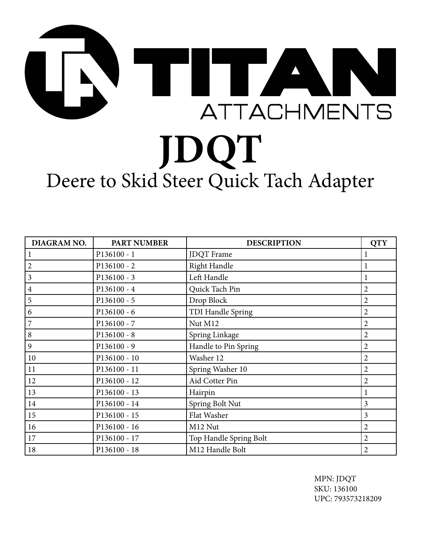## **TITA ATTACHMENTS JDQT** Deere to Skid Steer Quick Tach Adapter

| DIAGRAM NO.    | <b>PART NUMBER</b> | <b>DESCRIPTION</b>     | <b>QTY</b>     |
|----------------|--------------------|------------------------|----------------|
|                | $P136100 - 1$      | <b>JDQT</b> Frame      |                |
| $\overline{2}$ | $P136100 - 2$      | Right Handle           |                |
| 3              | $P136100 - 3$      | Left Handle            | 1              |
| $\overline{4}$ | P136100 - 4        | Quick Tach Pin         | $\overline{2}$ |
| 5              | $P136100 - 5$      | Drop Block             | $\overline{2}$ |
| 6              | $P136100 - 6$      | TDI Handle Spring      | $\overline{2}$ |
| 7              | $P136100 - 7$      | Nut M12                | $\overline{2}$ |
| 8              | $P136100 - 8$      | Spring Linkage         | $\overline{2}$ |
| 9              | $P136100 - 9$      | Handle to Pin Spring   | $\overline{2}$ |
| $10\,$         | P136100 - 10       | Washer 12              | $\overline{2}$ |
| 11             | P136100 - 11       | Spring Washer 10       | $\overline{2}$ |
| 12             | P136100 - 12       | Aid Cotter Pin         | $\overline{2}$ |
| 13             | P136100 - 13       | Hairpin                |                |
| 14             | P136100 - 14       | Spring Bolt Nut        | $\mathfrak{Z}$ |
| 15             | P136100 - 15       | Flat Washer            | 3              |
| 16             | P136100 - 16       | M12 Nut                | $\overline{2}$ |
| 17             | P136100 - 17       | Top Handle Spring Bolt | $\overline{2}$ |
| 18             | P136100 - 18       | M12 Handle Bolt        | $\overline{2}$ |

MPN: JDQT SKU: 136100 UPC: 793573218209